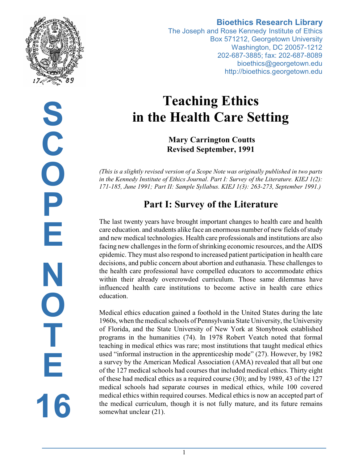

**Bioethics Research Library**

The Joseph and Rose Kennedy Institute of Ethics Box 571212, Georgetown University Washington, DC 20057-1212 202-687-3885; fax: 202-687-8089 bioethics@georgetown.edu http://bioethics.georgetown.edu

# **Teaching Ethics in the Health Care Setting**

 **Mary Carrington Coutts Revised September, 1991**

*(This is a slightly revised version of a Scope Note was originally published in two parts in the Kennedy Institute of Ethics Journal. Part I: Survey of the Literature. KIEJ 1(2): 171-185, June 1991; Part II: Sample Syllabus. KIEJ 1(3): 263-273, September 1991.)*

# **Part I: Survey of the Literature**

The last twenty years have brought important changes to health care and health care education. and students alike face an enormous number of new fields of study and new medical technologies. Health care professionals and institutions are also facing new challenges in the form of shrinking economic resources, and the AIDS epidemic. Theymust also respond to increased patient participation in health care decisions, and public concern about abortion and euthanasia. These challenges to the health care professional have compelled educators to accommodate ethics within their already overcrowded curriculum. Those same dilemmas have influenced health care institutions to become active in health care ethics education.

Medical ethics education gained a foothold in the United States during the late 1960s, when the medical schools of Pennsylvania State University, the University of Florida, and the State University of New York at Stonybrook established programs in the humanities (74). In 1978 Robert Veatch noted that formal teaching in medical ethics was rare; most institutions that taught medical ethics used "informal instruction in the apprenticeship mode" (27). However, by 1982 a survey by the American Medical Association (AMA) revealed that all but one of the 127 medical schools had courses that included medical ethics. Thirty eight of these had medical ethics as a required course (30); and by 1989, 43 of the 127 medical schools had separate courses in medical ethics, while 100 covered medical ethics within required courses. Medical ethics is now an accepted part of the medical curriculum, though it is not fully mature, and its future remains somewhat unclear (21).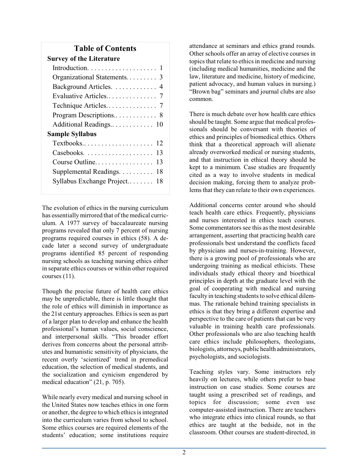## **Table of Contents**

The evolution of ethics in the nursing curriculum has essentiallymirrored that of the medical curriculum. A 1977 survey of baccalaureate nursing programs revealed that only 7 percent of nursing programs required courses in ethics (58). A decade later a second survey of undergraduate programs identified 85 percent of responding nursing schools as teaching nursing ethics either in separate ethics courses or within other required courses (11).

Though the precise future of health care ethics may be unpredictable, there is little thought that the role of ethics will diminish in importance as the 21st century approaches. Ethics is seen as part of a larger plan to develop and enhance the health professional's human values, social conscience, and interpersonal skills. "This broader effort derives from concerns about the personal attributes and humanistic sensitivity of physicians, the recent overly 'scientized' trend in premedical education, the selection of medical students, and the socialization and cynicism engendered by medical education" (21, p. 705).

While nearly every medical and nursing school in the United States now teaches ethics in one form or another, the degree to which ethics is integrated into the curriculum varies from school to school. Some ethics courses are required elements of the students' education; some institutions require attendance at seminars and ethics grand rounds. Other schools offer an array of elective courses in topics that relate to ethics in medicine and nursing (including medical humanities, medicine and the law, literature and medicine, history of medicine, patient advocacy, and human values in nursing.) "Brown bag" seminars and journal clubs are also common.

There is much debate over how health care ethics should be taught. Some argue that medical professionals should be conversant with theories of ethics and principles of biomedical ethics. Others think that a theoretical approach will alienate already overworked medical or nursing students, and that instruction in ethical theory should be kept to a minimum. Case studies are frequently cited as a way to involve students in medical decision making, forcing them to analyze problems that they can relate to their own experiences.

Additional concerns center around who should teach health care ethics. Frequently, physicians and nurses interested in ethics teach courses. Some commentators see this as the most desirable arrangement, asserting that practicing health care professionals best understand the conflicts faced by physicians and nurses-in-training. However, there is a growing pool of professionals who are undergoing training as medical ethicists. These individuals study ethical theory and bioethical principles in depth at the graduate level with the goal of cooperating with medical and nursing faculty in teaching students to solve ethical dilemmas. The rationale behind training specialists in ethics is that they bring a different expertise and perspective to the care of patients that can be very valuable in training health care professionals. Other professionals who are also teaching health care ethics include philosophers, theologians, biologists, attorneys, public health administrators, psychologists, and sociologists.

Teaching styles vary. Some instructors rely heavily on lectures, while others prefer to base instruction on case studies. Some courses are taught using a prescribed set of readings, and topics for discussion; some even use computer-assisted instruction. There are teachers who integrate ethics into clinical rounds, so that ethics are taught at the bedside, not in the classroom. Other courses are student-directed, in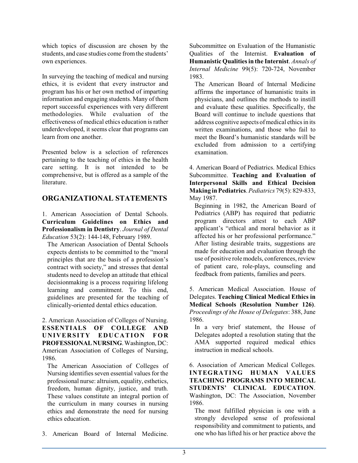which topics of discussion are chosen by the students, and case studies come from the students' own experiences.

In surveying the teaching of medical and nursing ethics, it is evident that every instructor and program has his or her own method of imparting information and engaging students. Many of them report successful experiences with very different methodologies. While evaluation of the effectiveness of medical ethics education is rather underdeveloped, it seems clear that programs can learn from one another.

Presented below is a selection of references pertaining to the teaching of ethics in the health care setting. It is not intended to be comprehensive, but is offered as a sample of the literature.

## **ORGANIZATIONAL STATEMENTS**

1. American Association of Dental Schools. **Curriculum Guidelines on Ethics and Professionalism in Dentistry**. *Journal of Dental Education* 53(2): 144-148, February 1989.

The American Association of Dental Schools expects dentists to be committed to the "moral principles that are the basis of a profession's contract with society," and stresses that dental students need to develop an attitude that ethical decisionmaking is a process requiring lifelong learning and commitment. To this end, guidelines are presented for the teaching of clinically-oriented dental ethics education.

2. American Association of Colleges of Nursing. **ESSENTIALS OF COLLEGE AND UNIVERSITY EDUCATION FOR PROFESSIONALNURSING**.Washington, DC: American Association of Colleges of Nursing, 1986.

The American Association of Colleges of Nursing identifies seven essential values for the professional nurse: altruism, equality, esthetics, freedom, human dignity, justice, and truth. These values constitute an integral portion of the curriculum in many courses in nursing ethics and demonstrate the need for nursing ethics education.

3. American Board of Internal Medicine.

Subcommittee on Evaluation of the Humanistic Qualities of the Internist. **Evaluation of Humanistic Qualities in the Internist**. *Annals of Internal Medicine* 99(5): 720-724, November 1983.

The American Board of Internal Medicine affirms the importance of humanistic traits in physicians, and outlines the methods to instill and evaluate these qualities. Specifically, the Board will continue to include questions that address cognitive aspects of medical ethics in its written examinations, and those who fail to meet the Board's humanistic standards will be excluded from admission to a certifying examination.

4. American Board of Pediatrics. Medical Ethics Subcommittee. **Teaching and Evaluation of Interpersonal Skills and Ethical Decision Making in Pediatrics**. *Pediatrics* 79(5): 829-833, May 1987.

Beginning in 1982, the American Board of Pediatrics (ABP) has required that pediatric program directors attest to each ABP applicant's "ethical and moral behavior as it affected his or her professional performance." After listing desirable traits, suggestions are made for education and evaluation through the use of positive role models, conferences, review of patient care, role-plays, counseling and feedback from patients, families and peers.

5. American Medical Association. House of Delegates. **Teaching Clinical Medical Ethics in Medical Schools (Resolution Number 126)**. *Proceedings of the House of Delegates*: 388, June 1986.

In a very brief statement, the House of Delegates adopted a resolution stating that the AMA supported required medical ethics instruction in medical schools.

6. Association of American Medical Colleges. **INTEGRATING HUMAN VALUES TEACHING PROGRAMS INTO MEDICAL STUDENTS' CLINICAL EDUCATION**. Washington, DC: The Association, November 1986.

The most fulfilled physician is one with a strongly developed sense of professional responsibility and commitment to patients, and one who has lifted his or her practice above the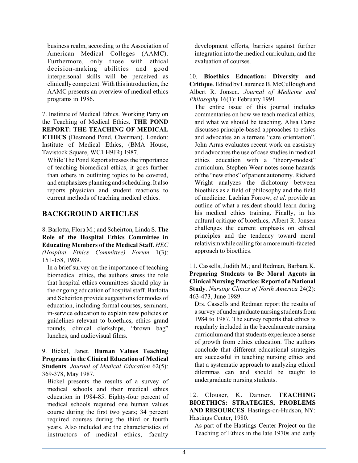business realm, according to the Association of American Medical Colleges (AAMC). Furthermore, only those with ethical decision-making abilities and good interpersonal skills will be perceived as clinically competent. With this introduction, the AAMC presents an overview of medical ethics programs in 1986.

7. Institute of Medical Ethics. Working Party on the Teaching of Medical Ethics. **THE POND REPORT: THE TEACHING OF MEDICAL ETHICS** (Desmond Pond, Chairman). London: Institute of Medical Ethics, (BMA House, Tavistock Square, WC1 H9JR) 1987.

While The Pond Report stresses the importance of teaching biomedical ethics, it goes further than others in outlining topics to be covered, and emphasizes planning and scheduling. It also reports physician and student reactions to current methods of teaching medical ethics.

## **BACKGROUND ARTICLES**

8. Barlotta, Flora M.; and Scheirton, Linda S. **The Role of the Hospital Ethics Committee in Educating Members of the Medical Staff**. *HEC (Hospital Ethics Committee) Forum* 1(3): 151-158, 1989.

In a brief survey on the importance of teaching biomedical ethics, the authors stress the role that hospital ethics committees should play in the ongoing education of hospital staff. Barlotta and Scheirton provide suggestions for modes of education, including formal courses, seminars, in-service education to explain new policies or guidelines relevant to bioethics, ethics grand rounds, clinical clerkships, "brown bag" lunches, and audiovisual films.

9. Bickel, Janet. **Human Values Teaching Programs in the Clinical Education of Medical Students**. *Journal of Medical Education* 62(5): 369-378, May 1987.

Bickel presents the results of a survey of medical schools and their medical ethics education in 1984-85. Eighty-four percent of medical schools required one human values course during the first two years; 34 percent required courses during the third or fourth years. Also included are the characteristics of instructors of medical ethics, faculty

development efforts, barriers against further integration into the medical curriculum, and the evaluation of courses.

10. **Bioethics Education: Diversity and Critique**. Edited byLaurence B. McCullough and Albert R. Jonsen. *Journal of Medicine and Philosophy* 16(1): February 1991.

The entire issue of this journal includes commentaries on how we teach medical ethics, and what we should be teaching. Alisa Carse discusses principle-based approaches to ethics and advocates an alternate "care orientation". John Arras evaluates recent work on casuistry and advocates the use of case studies in medical ethics education with a "theory-modest" curriculum. Stephen Wear notes some hazards ofthe "new ethos" of patient autonomy. Richard Wright analyzes the dichotomy between bioethics as a field of philosophy and the field of medicine. Lachian Forrow, *et al*. provide an outline of what a resident should learn during his medical ethics training. Finally, in his cultural critique of bioethics, Albert R. Jonsen challenges the current emphasis on ethical principles and the tendency toward moral relativismwhile calling for a more multi-faceted approach to bioethics.

11. Cassells, Judith M.; and Redman, Barbara K. **Preparing Students to Be Moral Agents in Clinical Nursing Practice: Report of a National Study**. *Nursing Clinics of North America* 24(2): 463-473, June 1989.

Drs. Cassells and Redman report the results of a survey of undergraduate nursing students from 1984 to 1987. The survey reports that ethics is regularly included in the baccalaureate nursing curriculum and that students experience a sense of growth from ethics education. The authors conclude that different educational strategies are successful in teaching nursing ethics and that a systematic approach to analyzing ethical dilemmas can and should be taught to undergraduate nursing students.

#### 12. Clouser, K. Danner. **TEACHING BIOETHICS: STRATEGIES, PROBLEMS AND RESOURCES**. Hastings-on-Hudson, NY: Hastings Center, 1980.

As part of the Hastings Center Project on the Teaching of Ethics in the late 1970s and early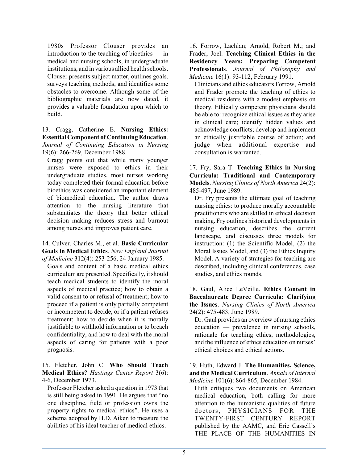1980s Professor Clouser provides an introduction to the teaching of bioethics — in medical and nursing schools, in undergraduate institutions, and in various allied health schools. Clouser presents subject matter, outlines goals, surveys teaching methods, and identifies some obstacles to overcome. Although some of the bibliographic materials are now dated, it provides a valuable foundation upon which to build.

13. Cragg, Catherine E. **Nursing Ethics: Essential Component of Continuing Education**. *Journal of Continuing Education in Nursing* 19(6): 266-269, December 1988.

Cragg points out that while many younger nurses were exposed to ethics in their undergraduate studies, most nurses working today completed their formal education before bioethics was considered an important element of biomedical education. The author draws attention to the nursing literature that substantiates the theory that better ethical decision making reduces stress and burnout among nurses and improves patient care.

14. Culver, Charles M., et al. **Basic Curricular Goals in Medical Ethics**. *New England Journal of Medicine* 312(4): 253-256, 24 January 1985.

Goals and content of a basic medical ethics curriculumare presented. Specifically, itshould teach medical students to identify the moral aspects of medical practice; how to obtain a valid consent to or refusal of treatment; how to proceed if a patient is only partially competent or incompetent to decide, or if a patient refuses treatment; how to decide when it is morally justifiable to withhold information or to breach confidentiality, and how to deal with the moral aspects of caring for patients with a poor prognosis.

15. Fletcher, John C. **Who Should Teach Medical Ethics?** *Hastings Center Report* 3(6): 4-6, December 1973.

Professor Fletcher asked a question in 1973 that is still being asked in 1991. He argues that "no one discipline, field or profession owns the property rights to medical ethics". He uses a schema adopted by H.D. Aiken to measure the abilities of his ideal teacher of medical ethics.

16. Forrow, Lachlan; Arnold, Robert M.; and Frader, Joel. **Teaching Clinical Ethics in the Residency Years: Preparing Competent Professionals**. *Journal of Philosophy and Medicine* 16(1): 93-112, February 1991.

Clinicians and ethics educators Forrow, Arnold and Frader promote the teaching of ethics to medical residents with a modest emphasis on theory. Ethically competent physicians should be able to: recognize ethical issues as they arise in clinical care; identify hidden values and acknowledge conflicts; develop and implement an ethically justifiable course of action; and judge when additional expertise and consultation is warranted.

17. Fry, Sara T. **Teaching Ethics in Nursing Curricula: Traditional and Contemporary Models**. *Nursing Clinics of North America* 24(2): 485-497, June 1989.

Dr. Fry presents the ultimate goal of teaching nursing ethics: to produce morally accountable practitioners who are skilled in ethical decision making. Fry outlines historical developments in nursing education, describes the current landscape, and discusses three models for instruction: (1) the Scientific Model, (2) the Moral Issues Model, and (3) the Ethics Inquiry Model. A variety of strategies for teaching are described, including clinical conferences, case studies, and ethics rounds.

18. Gaul, Alice LeVeille. **Ethics Content in Baccalaureate Degree Curricula: Clarifying the Issues**. *Nursing Clinics of North America* 24(2): 475-483, June 1989.

Dr. Gaul provides an overview of nursing ethics education — prevalence in nursing schools, rationale for teaching ethics, methodologies, and the influence of ethics education on nurses' ethical choices and ethical actions.

19. Huth, Edward J. **The Humanities, Science, and the Medical Curriculum**. *Annals of Internal Medicine* 101(6): 864-865, December 1984.

Huth critiques two documents on American medical education, both calling for more attention to the humanistic qualities of future doctors, PHYSICIANS FOR THE TWENTY-FIRST CENTURY REPORT published by the AAMC, and Eric Cassell's THE PLACE OF THE HUMANITIES IN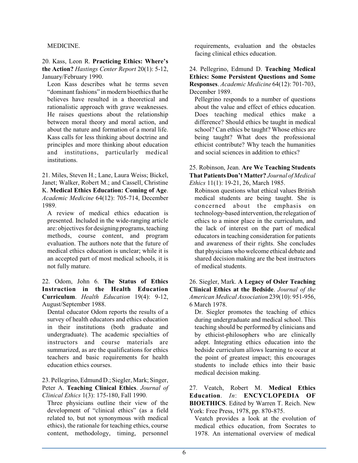#### MEDICINE.

20. Kass, Leon R. **Practicing Ethics: Where's the Action?** *Hastings Center Report* 20(1): 5-12, January/February 1990.

Leon Kass describes what he terms seven "dominant fashions" in modern bioethics that he believes have resulted in a theoretical and rationalistic approach with grave weaknesses. He raises questions about the relationship between moral theory and moral action, and about the nature and formation of a moral life. Kass calls for less thinking about doctrine and principles and more thinking about education and institutions, particularly medical institutions.

21. Miles, Steven H.; Lane, Laura Weiss; Bickel, Janet; Walker, Robert M.; and Cassell, Christine K. **Medical Ethics Education: Coming of Age**. *Academic Medicine* 64(12): 705-714, December 1989.

A review of medical ethics education is presented. Included in the wide-ranging article are: objectives for designing programs, teaching methods, course content, and program evaluation. The authors note that the future of medical ethics education is unclear; while it is an accepted part of most medical schools, it is not fully mature.

22. Odom, John 6. **The Status of Ethics Instruction in the Health Education Curriculum**. *Health Education* 19(4): 9-12, August/September 1988.

Dental educator Odom reports the results of a survey of health educators and ethics education in their institutions (both graduate and undergraduate). The academic specialties of instructors and course materials are summarized, as are the qualifications for ethics teachers and basic requirements for health education ethics courses.

23. Pellegrino, Edmund D.; Siegler, Mark; Singer, Peter A. **Teaching Clinical Ethics**. *Journal of Clinical Ethics* 1(3): 175-180, Fall 1990.

Three physicians outline their view of the development of "clinical ethics" (as a field related to, but not synonymous with medical ethics), the rationale for teaching ethics, course content, methodology, timing, personnel

requirements, evaluation and the obstacles facing clinical ethics education.

24. Pellegrino, Edmund D. **Teaching Medical Ethics: Some Persistent Questions and Some Responses**. *Academic Medicine* 64(12): 701-703, December 1989.

Pellegrino responds to a number of questions about the value and effect of ethics education. Does teaching medical ethics make a difference? Should ethics be taught in medical school? Can ethics be taught? Whose ethics are being taught? What does the professional ethicist contribute? Why teach the humanities and social sciences in addition to ethics?

25. Robinson, Jean. **Are We Teaching Students That Patients Don't Matter?** *Journal of Medical Ethics* 11(1): 19-21, 26, March 1985.

Robinson questions what ethical values British medical students are being taught. She is concerned about the emphasis on technology-based intervention, the relegation of ethics to a minor place in the curriculum, and the lack of interest on the part of medical educators in teaching consideration for patients and awareness of their rights. She concludes that physicians who welcome ethical debate and shared decision making are the best instructors of medical students.

26. Siegler, Mark. **A Legacy of Osler Teaching Clinical Ethics at the Bedside**. *Journal of the American Medical Association* 239(10): 951-956, 6 March 1978.

Dr. Siegler promotes the teaching of ethics during undergraduate and medical school. This teaching should be performed by clinicians and by ethicist-philosophers who are clinically adept. Integrating ethics education into the bedside curriculum allows learning to occur at the point of greatest impact; this encourages students to include ethics into their basic medical decision making.

27. Veatch, Robert M. **Medical Ethics Education**. *In*: **ENCYCLOPEDIA OF BIOETHICS**. Edited by Warren T. Reich. New York: Free Press, 1978, pp. 870-875.

Veatch provides a look at the evolution of medical ethics education, from Socrates to 1978. An international overview of medical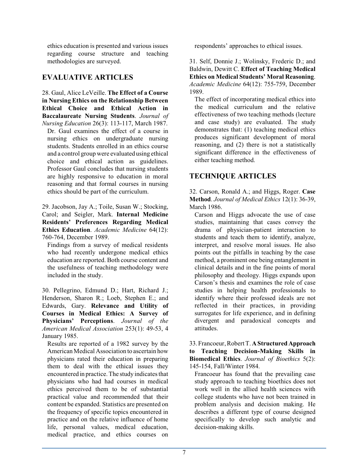ethics education is presented and various issues regarding course structure and teaching methodologies are surveyed.

## **EVALUATIVE ARTICLES**

28. Gaul, Alice LeVeille. **The Effect of a Course in Nursing Ethics on the Relationship Between Ethical Choice and Ethical Action in Baccalaureate Nursing Students**. *Journal of Nursing Education* 26(3): 113-117, March 1987.

Dr. Gaul examines the effect of a course in nursing ethics on undergraduate nursing students. Students enrolled in an ethics course and a control group were evaluated using ethical choice and ethical action as guidelines. Professor Gaul concludes that nursing students are highly responsive to education in moral reasoning and that formal courses in nursing ethics should be part of the curriculum.

29. Jacobson, Jay A.; Toile, Susan W.; Stocking, Carol; and Seigler, Mark. **Internal Medicine Residents' Preferences Regarding Medical Ethics Education**. *Academic Medicine* 64(12): 760-764, December 1989.

Findings from a survey of medical residents who had recently undergone medical ethics education are reported. Both course content and the usefulness of teaching methodology were included in the study.

30. Pellegrino, Edmund D.; Hart, Richard J.; Henderson, Sharon R.; Loeb, Stephen E.; and Edwards, Gary. **Relevance and Utility of Courses in Medical Ethics: A Survey of Physicians' Perceptions**. *Journal of the American Medical Association* 253(1): 49-53, 4 January 1985.

Results are reported of a 1982 survey by the American Medical Association to ascertain how physicians rated their education in preparing them to deal with the ethical issues they encountered in practice. The study indicates that physicians who had had courses in medical ethics perceived them to be of substantial practical value and recommended that their content be expanded. Statistics are presented on the frequency of specific topics encountered in practice and on the relative influence of home life, personal values, medical education, medical practice, and ethics courses on

respondents' approaches to ethical issues.

31. Self, Donnie J.; Wolinsky, Frederic D.; and Baldwin, Dewitt C. **Effect of Teaching Medical Ethics on Medical Students' Moral Reasoning**. *Academic Medicine* 64(12): 755-759, December 1989.

The effect of incorporating medical ethics into the medical curriculum and the relative effectiveness of two teaching methods (lecture and case study) are evaluated. The study demonstrates that: (1) teaching medical ethics produces significant development of moral reasoning, and (2) there is not a statistically significant difference in the effectiveness of either teaching method.

## **TECHNIQUE ARTICLES**

32. Carson, Ronald A.; and Higgs, Roger. **Case Method**. *Journal of Medical Ethics* 12(1): 36-39, March 1986.

Carson and Higgs advocate the use of case studies, maintaining that cases convey the drama of physician-patient interaction to students and teach them to identify, analyze, interpret, and resolve moral issues. He also points out the pitfalls in teaching by the case method, a prominent one being entanglement in clinical details and in the fine points of moral philosophy and theology. Higgs expands upon Carson's thesis and examines the role of case studies in helping health professionals to identify where their professed ideals are not reflected in their practices, in providing surrogates for life experience, and in defining divergent and paradoxical concepts and attitudes.

33.Francoeur, RobertT. **AStructured Approach to Teaching Decision-Making Skills in Biomedical Ethics**. *Journal of Bioethics* 5(2): 145-154, Fall/Winter 1984.

Francoeur has found that the prevailing case study approach to teaching bioethics does not work well in the allied health sciences with college students who have not been trained in problem analysis and decision making. He describes a different type of course designed specifically to develop such analytic and decision-making skills.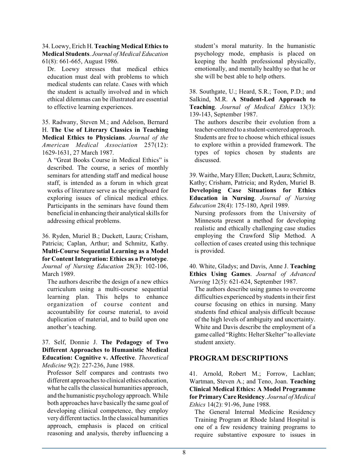34. Loewy, Erich H. **Teaching Medical Ethics to Medical Students**. *Journal of Medical Education* 61(8): 661-665, August 1986.

Dr. Loewy stresses that medical ethics education must deal with problems to which medical students can relate. Cases with which the student is actually involved and in which ethical dilemmas can be illustrated are essential to effective learning experiences.

35. Radwany, Steven M.; and Adelson, Bernard H. **The Use of Literary Classics in Teaching Medical Ethics to Physicians**. *Journal of the American Medical Association* 257(12): 1629-1631, 27 March 1987.

A "Great Books Course in Medical Ethics" is described. The course, a series of monthly seminars for attending staff and medical house staff, is intended as a forum in which great works of literature serve as the springboard for exploring issues of clinical medical ethics. Participants in the seminars have found them beneficial in enhancing their analytical skills for addressing ethical problems.

36. Ryden, Muriel B.; Duckett, Laura; Crisham, Patricia; Caplan, Arthur; and Schmitz, Kathy. **Multi-Course Sequential Learning as a Model for ContentIntegration: Ethics as a Prototype**. *Journal of Nursing Education* 28(3): 102-106, March 1989.

The authors describe the design of a new ethics curriculum using a multi-course sequential learning plan. This helps to enhance organization of course content and accountability for course material, to avoid duplication of material, and to build upon one another's teaching.

37. Self, Donnie J. **The Pedagogy of Two Different Approaches to Humanistic Medical Education: Cognitive v. Affective**. *Theoretical Medicine* 9(2): 227-236, June 1988.

Professor Self compares and contrasts two different approaches to clinical ethics education, what he calls the classical humanities approach, and the humanistic psychology approach. While both approaches have basically the same goal of developing clinical competence, they employ very different tactics. In the classical humanities approach, emphasis is placed on critical reasoning and analysis, thereby influencing a student's moral maturity. In the humanistic psychology mode, emphasis is placed on keeping the health professional physically, emotionally, and mentally healthy so that he or she will be best able to help others.

38. Southgate, U.; Heard, S.R.; Toon, P.D.; and Salkind, M.R. **A Student-Led Approach to Teaching**. *Journal of Medical Ethics* 13(3): 139-143, September 1987.

The authors describe their evolution from a teacher-centered to a student-centered approach. Students are free to choose which ethical issues to explore within a provided framework. The types of topics chosen by students are discussed.

39. Waithe, Mary Ellen; Duckett, Laura; Schmitz, Kathy; Crisham, Patricia; and Ryden, Muriel B. **Developing Case Situations for Ethics Education in Nursing**. *Journal of Nursing Education* 28(4): 175-180, April 1989.

Nursing professors from the University of Minnesota present a method for developing realistic and ethically challenging case studies employing the Crawford Slip Method. A collection of cases created using this technique is provided.

40. White, Gladys; and Davis, Anne J. **Teaching Ethics Using Games**. *Journal of Advanced Nursing* 12(5): 621-624, September 1987.

The authors describe using games to overcome difficulties experienced by students in their first course focusing on ethics in nursing. Many students find ethical analysis difficult because of the high levels of ambiguity and uncertainty. White and Davis describe the employment of a game called "Rights: Helter Skelter" to alleviate student anxiety.

## **PROGRAM DESCRIPTIONS**

41. Arnold, Robert M.; Forrow, Lachlan; Wartman, Steven A.; and Teno, Joan. **Teaching Clinical Medical Ethics: A Model Programme for Primary CareResidency**. *Journal of Medical Ethics* 14(2): 91-96, June 1988.

The General Internal Medicine Residency Training Program at Rhode Island Hospital is one of a few residency training programs to require substantive exposure to issues in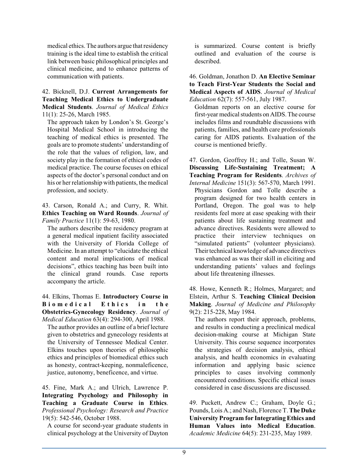medical ethics. The authors argue that residency training is the ideal time to establish the critical link between basic philosophical principles and clinical medicine, and to enhance patterns of communication with patients.

42. Bicknell, D.J. **Current Arrangements for Teaching Medical Ethics to Undergraduate Medical Students**. *Journal of Medical Ethics* 11(1): 25-26, March 1985.

The approach taken by London's St. George's Hospital Medical School in introducing the teaching of medical ethics is presented. The goals are to promote students' understanding of the role that the values of religion, law, and society play in the formation of ethical codes of medical practice. The course focuses on ethical aspects of the doctor's personal conduct and on his or her relationship with patients, the medical profession, and society.

43. Carson, Ronald A.; and Curry, R. Whit. **Ethics Teaching on Ward Rounds**. *Journal of Family Practice* 11(1): 59-63, 1980.

The authors describe the residency program at a general medical inpatient facility associated with the University of Florida College of Medicine. In an attempt to "elucidate the ethical content and moral implications of medical decisions", ethics teaching has been built into the clinical grand rounds. Case reports accompany the article.

44. Elkins, Thomas E. **Introductory Course in B i o m e d i c a l E t h i c s i n t h e Obstetrics-Gynecology Residency**. *Journal of Medical Education* 63(4): 294-300, April 1988.

The author provides an outline of a brief lecture given to obstetrics and gynecology residents at the University of Tennessee Medical Center. Elkins touches upon theories of philosophic ethics and principles of biomedical ethics such as honesty, contract-keeping, nonmaleficence, justice, autonomy, beneficence, and virtue.

45. Fine, Mark A.; and Ulrich, Lawrence P. **Integrating Psychology and Philosophy in Teaching a Graduate Course in Ethics**. *Professional Psychology: Research and Practice* 19(5): 542-546, October 1988.

A course for second-year graduate students in clinical psychology at the University of Dayton

is summarized. Course content is briefly outlined and evaluation of the course is described.

46. Goldman, Jonathon D. **An Elective Seminar to Teach First-Year Students the Social and Medical Aspects of AIDS**. *Journal of Medical Education* 62(7): 557-561, July 1987.

Goldman reports on an elective course for first-year medical students on AIDS. The course includes films and roundtable discussions with patients, families, and health care professionals caring for AIDS patients. Evaluation of the course is mentioned briefly.

47. Gordon, Geoffrey H.; and Tolle, Susan W. **Discussing Life-Sustaining Treatment; A Teaching Program for Residents**. *Archives of*

*Internal Medicine* 151(3): 567-570, March 1991. Physicians Gordon and Tolle describe a program designed for two health centers in Portland, Oregon. The goal was to help residents feel more at ease speaking with their patients about life sustaining treatment and advance directives. Residents were allowed to practice their interview techniques on "simulated patients" (volunteer physicians). Their technical knowledge of advance directives was enhanced as was their skill in eliciting and understanding patients' values and feelings about life threatening illnesses.

48. Howe, Kenneth R.; Holmes, Margaret; and Elstein, Arthur S. **Teaching Clinical Decision Making**. *Journal of Medicine and Philosophy* 9(2): 215-228, May 1984.

The authors report their approach, problems, and results in conducting a preclinical medical decision-making course at Michigan State University. This course sequence incorporates the strategies of decision analysis, ethical analysis, and health economics in evaluating information and applying basic science principles to cases involving commonly encountered conditions. Specific ethical issues considered in case discussions are discussed.

49. Puckett, Andrew C.; Graham, Doyle G.; Pounds, Lois A.; and Nash, Florence T. **The Duke University Program for Integrating Ethics and Human Values into Medical Education**. *Academic Medicine* 64(5): 231-235, May 1989.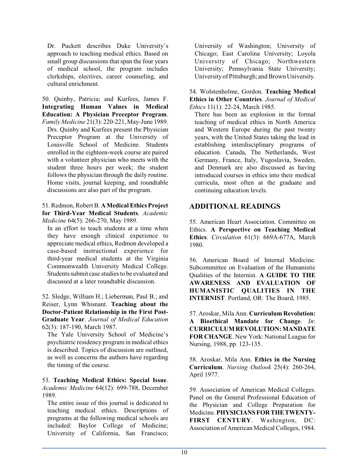Dr. Puckett describes Duke University's approach to teaching medical ethics. Based on small group discussions that span the four years of medical school, the program includes clerkships, electives, career counseling, and cultural enrichment.

50. Quinby, Patricia; and Kurfees, James F. **Integrating Human Values in Medical Education: A Physician Preceptor Program**.

*Family Medicine* 21(3): 220-221, May-June 1989. Drs. Quinby and Kurfees present the Physician Preceptor Program at the University of Louisville School of Medicine. Students enrolled in the eighteen-week course are paired with a volunteer physician who meets with the student three hours per week; the student follows the physician through the daily routine. Home visits, journal keeping, and roundtable discussions are also part of the program.

51. Redmon, RobertB. **AMedicalEthics Project for Third-Year Medical Students**. *Academic Medicine* 64(5): 266-270, May 1989.

In an effort to teach students at a time when they have enough clinical experience to appreciate medical ethics, Redmon developed a case-based instructional experience for third-year medical students at the Virginia Commonwealth University Medical College. Students submit case studies to be evaluated and discussed at a later roundtable discussion.

52. Sledge, William H.; Lieberman, Paul B.; and Reiser, Lynn Whisnant. **Teaching about the Doctor-Patient Relationship in the First Post-Graduate Year**. *Journal of Medical Education* 62(3): 187-190, March 1987.

The Yale University School of Medicine's psychiatric residency program in medical ethics is described. Topics of discussion are outlined, as well as concerns the authors have regarding the timing of the course.

53. **Teaching Medical Ethics: Special Issue**. *Academic Medicine* 64(12): 699-788, December 1989.

The entire issue of this journal is dedicated to teaching medical ethics. Descriptions of programs at the following medical schools are included: Baylor College of Medicine; University of California, San Francisco;

University of Washington; University of Chicago; East Carolina University; Loyola University of Chicago; Northwestern University; Pennsylvania State University; University of Pittsburgh; and Brown University.

54. Wolstenholme, Gordon. **Teaching Medical Ethics in Other Countries**. *Journal of Medical Ethics* 11(1): 22-24, March 1985.

There has been an explosion in the formal teaching of medical ethics in North America and Western Europe during the past twenty years, with the United States taking the lead in establishing interdisciplinary programs of education. Canada, The Netherlands, West Germany, France, Italy, Yugoslavia, Sweden, and Denmark are also discussed as having introduced courses in ethics into their medical curricula, most often at the graduate and continuing education levels.

## **ADDITIONAL READINGS**

55. American Heart Association. Committee on Ethics. **A Perspective on Teaching Medical Ethics**. *Circulation* 61(3): 669A-677A, March 1980.

56. American Board of Internal Medicine. Subcommittee on Evaluation of the Humanistic Qualities of the Internist. **A GUIDE TO THE AWARENESS AND EVALUATION OF HUMANISTIC QUALITIES IN THE INTERNIST**. Portland, OR: The Board, 1985.

57. Aroskar, Mila Ann. **Curriculum Revolution: A Bioethical Mandate for Change**. *In*: **CURRICULUM REVOLUTION:MANDATE FOR CHANGE**. New York: National League for Nursing, 1988, pp. 123-135.

58. Aroskar, Mila Ann. **Ethics in the Nursing Curriculum**. *Nursing Outlook* 25(4): 260-264, April 1977.

59. Association of American Medical Colleges. Panel on the General Professional Education of the Physician and College Preparation for Medicine. **PHYSICIANSFORTHETWENTY-FIRST CENTURY**. Washington, DC: Association of American Medical Colleges, 1984.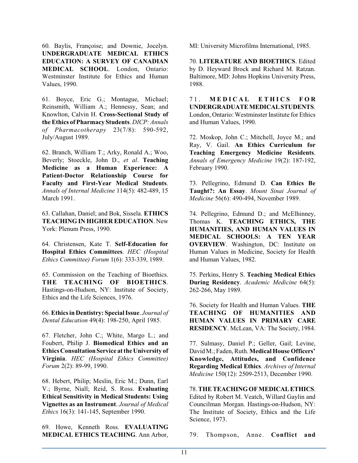60. Baylis, Françoise; and Downie, Jocelyn. **UNDERGRADUATE MEDICAL ETHICS EDUCATION: A SURVEY OF CANADIAN MEDICAL SCHOOL**. London, Ontario: Westminster Institute for Ethics and Human Values, 1990.

61. Boyce, Eric G.; Montague, Michael; Reinsmith, William A.; Hennessy, Sean; and Knowlton, Calvin H. **Cross-Sectional Study of the Ethics of Pharmacy Students**. *DICP: Annals of Pharmacotherapy* 23(7/8): 590-592, July/August 1989.

62. Branch, William T.; Arky, Ronald A.; Woo, Beverly; Stoeckle, John D., *et al*. **Teaching Medicine as a Human Experience: A Patient-Doctor Relationship Course for Faculty and First-Year Medical Students**. *Annals of Internal Medicine* 114(5): 482-489, 15 March 1991.

63. Callahan, Daniel; and Bok, Sissela. **ETHICS TEACHING IN HIGHER EDUCATION**. New York: Plenum Press, 1990.

64. Christensen, Kate T. **Self-Education for Hospital Ethics Committees**. *HEC (Hospital Ethics Committee) Forum* 1(6): 333-339, 1989.

65. Commission on the Teaching of Bioethics. **THE TEACHING OF BIOETHICS**. Hastings-on-Hudson, NY: Institute of Society, Ethics and the Life Sciences, 1976.

66. **Ethics in Dentistry: SpecialIssue**. *Journal of Dental Education* 49(4): 198-250, April 1985.

67. Fletcher, John C.; White, Margo L.; and Foubert, Philip J. **Biomedical Ethics and an Ethics ConsultationService atthe University of Virginia**. *HEC (Hospital Ethics Committee) Forum* 2(2): 89-99, 1990.

68. Hebert, Philip; Meslin, Eric M.; Dunn, Earl V.; Byrne, Niall; Reid, S. Ross. **Evaluating Ethical Sensitivity in Medical Students: Using Vignettes as an Instrument**. *Journal of Medical Ethics* 16(3): 141-145, September 1990.

69. Howe, Kenneth Ross. **EVALUATING MEDICAL ETHICS TEACHING**. Ann Arbor, MI: University Microfilms International, 1985.

70. **LITERATURE AND BIOETHICS**. Edited by D. Heyward Brock and Richard M. Ratzan. Baltimore, MD: Johns Hopkins University Press, 1988.

7 1 . **M E D I C A L E T H I C S F O R UNDERGRADUATEMEDICALSTUDENTS**. London, Ontario: Westminster Institute for Ethics and Human Values, 1990.

72. Moskop, John C.; Mitchell, Joyce M.; and Ray, V. Gail. **An Ethics Curriculum for Teaching Emergency Medicine Residents**. *Annals of Emergency Medicine* 19(2): 187-192, February 1990.

73. Pellegrino, Edmund D. **Can Ethics Be Taught?: An Essay**. *Mount Sinai Journal of Medicine* 56(6): 490-494, November 1989.

74. Pellegrino, Edmund D.; and McElhinney, Thomas K. **TEACHING ETHICS, THE HUMANITIES, AND HUMAN VALUES IN MEDICAL SCHOOLS: A TEN YEAR OVERVIEW**. Washington, DC: Institute on Human Values in Medicine, Society for Health and Human Values, 1982.

75. Perkins, Henry S. **Teaching Medical Ethics During Residency**. *Academic Medicine* 64(5): 262-266, May 1989.

76. Society for Health and Human Values. **THE TEACHING OF HUMANITIES AND HUMAN VALUES IN PRIMARY CARE RESIDENCY**. McLean, VA: The Society, 1984.

77. Sulmasy, Daniel P.; Geller, Gail; Levine, David M.; Faden, Ruth. Medical House Officers' **Knowledge, Attitudes, and Confidence Regarding Medical Ethics**. *Archives of Internal Medicine* 150(12): 2509-2513, December 1990.

78. **THE TEACHING OF MEDICALETHICS**. Edited by Robert M. Veatch, Willard Gaylin and Councilman Morgan. Hastings-on-Hudson, NY: The Institute of Society, Ethics and the Life Science, 1973.

79. Thompson, Anne. **Conflict and**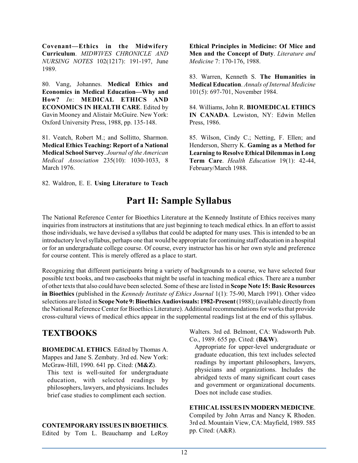**Covenant—Ethics in the Midwifery Curriculum**. *MIDWIVES CHRONICLE AND NURSING NOTES* 102(1217): 191-197, June 1989.

80. Vang, Johannes. **Medical Ethics and Economics in Medical Education—Why and How?** *In*: **MEDICAL ETHICS AND ECONOMICS IN HEALTH CARE**. Edited by Gavin Mooney and Alistair McGuire. New York: Oxford University Press, 1988, pp. 135-148.

81. Veatch, Robert M.; and Sollitto, Sharmon. **Medical Ethics Teaching: Report of a National Medical School Survey**. *Journal of the American Medical Association* 235(10): 1030-1033, 8 March 1976.

82. Waldron, E. E. **Using Literature to Teach**

**Ethical Principles in Medicine: Of Mice and Men and the Concept of Duty**. *Literature and Medicine* 7: 170-176, 1988.

83. Warren, Kenneth S. **The Humanities in Medical Education**. *Annals of Internal Medicine* 101(5): 697-701, November 1984.

84. Williams, John R. **BIOMEDICAL ETHICS IN CANADA**. Lewiston, NY: Edwin Mellen Press, 1986.

85. Wilson, Cindy C.; Netting, F. Ellen; and Henderson, Sherry K. **Gaming as a Method for Learning to Resolve Ethical Dilemmas in Long Term Care**. *Health Education* 19(1): 42-44, February/March 1988.

# **Part II: Sample Syllabus**

The National Reference Center for Bioethics Literature at the Kennedy Institute of Ethics receives many inquiries from instructors at institutions that are just beginning to teach medical ethics. In an effort to assist those individuals, we have devised a syllabus that could be adapted for many uses. This is intended to be an introductory levelsyllabus, perhaps one that would be appropriate for continuing staff education in a hospital or for an undergraduate college course. Of course, every instructor has his or her own style and preference for course content. This is merely offered as a place to start.

Recognizing that different participants bring a variety of backgrounds to a course, we have selected four possible text books, and two casebooks that might be useful in teaching medical ethics. There are a number of other texts that also could have been selected. Some of these are listed in **Scope Note 15: Basic Resources in Bioethics** (published in the *Kennedy Institute of Ethics Journal* 1(1): 75-90, March 1991). Other video selections are listed in **Scope Note 9: Bioethics Audiovisuals: 1982-Present** (1988); (available directly from the National Reference Center for Bioethics Literature). Additional recommendations for works that provide cross-cultural views of medical ethics appear in the supplemental readings list at the end of this syllabus.

## **TEXTBOOKS**

**BIOMEDICAL ETHICS**. Edited by Thomas A. Mappes and Jane S. Zembaty. 3rd ed. New York: McGraw-Hill, 1990. 641 pp. Cited: (**M&Z**).

This text is well-suited for undergraduate education, with selected readings by philosophers, lawyers, and physicians. Includes brief case studies to compliment each section.

## **CONTEMPORARY ISSUES IN BIOETHICS**.

Edited by Tom L. Beauchamp and LeRoy

Walters. 3rd ed. Belmont, CA: Wadsworth Pub. Co., 1989. 655 pp. Cited: (**B&W**).

Appropriate for upper-level undergraduate or graduate education, this text includes selected readings by important philosophers, lawyers, physicians and organizations. Includes the abridged texts of many significant court cases and government or organizational documents. Does not include case studies.

#### **ETHICAL ISSUESINMODERN MEDICINE**.

Compiled by John Arras and Nancy K Rhoden. 3rd ed. Mountain View, CA: Mayfield, 1989. 585 pp. Cited: (A&R).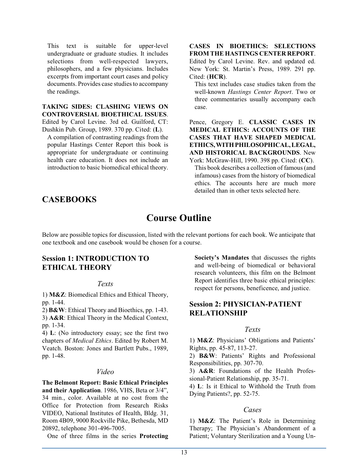This text is suitable for upper-level undergraduate or graduate studies. It includes selections from well-respected lawyers, philosophers, and a few physicians. Includes excerpts from important court cases and policy documents. Provides case studies to accompany the readings.

**TAKING SIDES: CLASHING VIEWS ON CONTROVERSIAL BIOETHICAL ISSUES**. Edited by Carol Levine. 3rd ed. Guilford, CT: Dushkin Pub. Group, 1989. 370 pp. Cited: (**L**).

A compilation of contrasting readings from the popular Hastings Center Report this book is appropriate for undergraduate or continuing health care education. It does not include an introduction to basic biomedical ethical theory.

#### **CASES IN BIOETHICS: SELECTIONS FROM THE HASTINGS CENTER REPORT**.

Edited by Carol Levine. Rev. and updated ed. New York: St. Martin's Press, 1989. 291 pp. Cited: (**HCR**).

This text includes case studies taken from the well-known *Hastings Center Report*. Two or three commentaries usually accompany each case.

Pence, Gregory E. **CLASSIC CASES IN MEDICAL ETHICS: ACCOUNTS OF THE CASES THAT HAVE SHAPED MEDICAL ETHICS,WITH PHILOSOPHICAL, LEGAL, AND HISTORICAL BACKGROUNDS**. New York: McGraw-Hill, 1990. 398 pp. Cited: (**CC**).

This book describes a collection of famous (and infamous) cases from the history of biomedical ethics. The accounts here are much more detailed than in other texts selected here.

## **CASEBOOKS**

## **Course Outline**

Below are possible topics for discussion, listed with the relevant portions for each book. We anticipate that one textbook and one casebook would be chosen for a course.

## **Session 1: INTRODUCTION TO ETHICAL THEORY**

#### *Texts*

1) **M&Z**: Biomedical Ethics and Ethical Theory, pp. 1-44.

2) **B&W**: Ethical Theory and Bioethics, pp. 1-43. 3) **A&R**: Ethical Theory in the Medical Context, pp. 1-34.

4) **L**: (No introductory essay; see the first two chapters of *Medical Ethics*. Edited by Robert M. Veatch. Boston: Jones and Bartlett Pubs., 1989, pp. 1-48.

### *Video*

**The Belmont Report: Basic Ethical Principles and their Application**. 1986, VHS, Beta or 3/4", 34 min., color. Available at no cost from the Office for Protection from Research Risks VIDEO, National Institutes of Health, Bldg. 31, Room 4B09, 9000 Rockville Pike, Bethesda, MD 20892, telephone 301-496-7005.

One of three films in the series **Protecting**

**Society's Mandates** that discusses the rights and well-being of biomedical or behavioral research volunteers, this film on the Belmont Report identifies three basic ethical principles: respect for persons, beneficence, and justice.

## **Session 2: PHYSICIAN-PATIENT RELATIONSHIP**

### *Texts*

1) **M&Z**: Physicians' Obligations and Patients' Rights, pp. 45-87, 113-27.

2) **B&W**: Patients' Rights and Professional Responsibilities, pp. 307-70.

3) **A&R**: Foundations of the Health Professional-Patient Relationship, pp. 35-71.

4) **L**: Is it Ethical to Withhold the Truth from Dying Patients?, pp. 52-75.

### *Cases*

1) **M&Z**: The Patient's Role in Determining Therapy; The Physician's Abandonment of a Patient; Voluntary Sterilization and a Young Un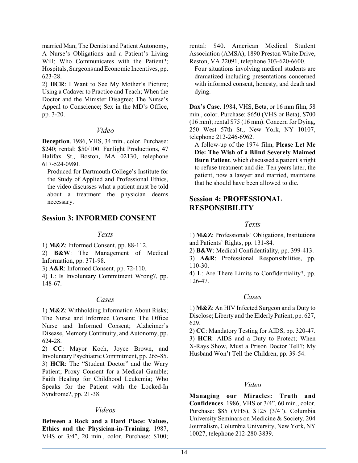married Man; The Dentist and Patient Autonomy, A Nurse's Obligations and a Patient's Living Will; Who Communicates with the Patient?; Hospitals, Surgeons and Economic Incentives, pp. 623-28.

2) **HCR**: I Want to See My Mother's Picture; Using a Cadaver to Practice and Teach; When the Doctor and the Minister Disagree; The Nurse's Appeal to Conscience; Sex in the MD's Office, pp. 3-20.

### *Video*

**Deception**. 1986, VHS, 34 min., color. Purchase: \$240; rental: \$50/100. Fanlight Productions, 47 Halifax St., Boston, MA 02130, telephone 617-524-0980.

Produced for Dartmouth College's Institute for the Study of Applied and Professional Ethics, the video discusses what a patient must be told about a treatment the physician deems necessary.

## **Session 3: INFORMED CONSENT**

#### *Texts*

1) **M&Z**: Informed Consent, pp. 88-112.

2) **B&W**: The Management of Medical Information, pp. 371-98.

3) **A&R**: Informed Consent, pp. 72-110.

4) **L**: Is Involuntary Commitment Wrong?, pp. 148-67.

### *Cases*

1) **M&Z**: Withholding Information About Risks; The Nurse and Informed Consent; The Office Nurse and Informed Consent; Alzheimer's Disease, Memory Continuity, and Autonomy, pp. 624-28.

2) **CC**: Mayor Koch, Joyce Brown, and Involuntary Psychiatric Commitment, pp. 265-85. 3) **HCR**: The "Student Doctor" and the Wary Patient; Proxy Consent for a Medical Gamble; Faith Healing for Childhood Leukemia; Who Speaks for the Patient with the Locked-In Syndrome?, pp. 21-38.

## *Videos*

**Between a Rock and a Hard Place: Values, Ethics and the Physician-in-Training**. 1987, VHS or 3/4", 20 min., color. Purchase: \$100; rental: \$40. American Medical Student Association (AMSA), 1890 Preston White Drive, Reston, VA 22091, telephone 703-620-6600.

Four situations involving medical students are dramatized including presentations concerned with informed consent, honesty, and death and dying.

**Dax's Case**. 1984, VHS, Beta, or 16 mm film, 58 min., color. Purchase: \$650 (VHS or Beta), \$700 (16 mm); rental \$75 (16 mm). Concern for Dying, 250 West 57th St., New York, NY 10107, telephone 212-246-6962.

A follow-up of the 1974 film, **Please Let Me Die: The Wish of a Blind Severely Maimed Burn Patient**, which discussed a patient's right to refuse treatment and die. Ten years later, the patient, now a lawyer and married, maintains that he should have been allowed to die.

## **Session 4: PROFESSIONAL RESPONSIBILITY**

## *Texts*

1) **M&Z**: Professionals' Obligations, Institutions and Patients' Rights, pp. 131-84.

2) **B&W**: Medical Confidentiality, pp. 399-413.

3) **A&R**: Professional Responsibilities, pp. 110-30.

4) **L**: Are There Limits to Confidentiality?, pp. 126-47.

## *Cases*

1) **M&Z**: An HIV Infected Surgeon and a Duty to Disclose; Liberty and the Elderly Patient, pp. 627, 629.

2) **CC**: Mandatory Testing for AIDS, pp. 320-47. 3) **HCR**: AIDS and a Duty to Protect; When X-Rays Show, Must a Prison Doctor Tell?; My Husband Won't Tell the Children, pp. 39-54.

### *Video*

**Managing our Miracles: Truth and Confidences**. 1986, VHS or 3/4", 60 min., color. Purchase: \$85 (VHS), \$125 (3/4"). Columbia University Seminars on Medicine & Society, 204 Journalism, Columbia University, New York, NY 10027, telephone 212-280-3839.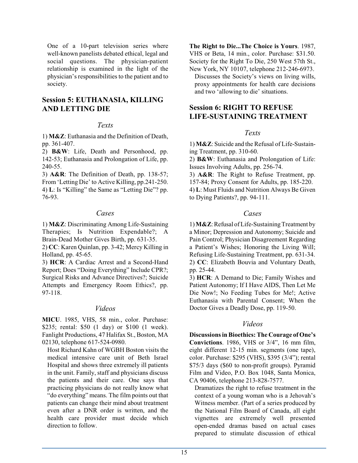One of a 10-part television series where well-known panelists debated ethical, legal and social questions. The physician-patient relationship is examined in the light of the physician's responsibilities to the patient and to society.

## **Session 5: EUTHANASIA, KILLING AND LETTING DIE**

#### *Texts*

1) **M&Z**: Euthanasia and the Definition of Death, pp. 361-407.

2) **B&W**: Life, Death and Personhood, pp. 142-53; Euthanasia and Prolongation of Life, pp. 240-55.

3) **A&R**: The Definition of Death, pp. 138-57; From 'Letting Die' to Active Killing, pp.241-250. 4) **L**: Is "Killing" the Same as "Letting Die"? pp. 76-93.

### *Cases*

1) **M&Z**: Discriminating Among Life-Sustaining Therapies; Is Nutrition Expendable?; A Brain-Dead Mother Gives Birth, pp. 631-35.

2) **CC**: Karen Quinlan, pp. 3-42; Mercy Killing in Holland, pp. 45-65.

3) **HCR**: A Cardiac Arrest and a Second-Hand Report; Does "Doing Everything" Include CPR?; Surgical Risks and Advance Directives?; Suicide Attempts and Emergency Room Ethics?, pp. 97-118.

### *Videos*

**MICU**. 1985, VHS, 58 min., color. Purchase: \$235; rental: \$50 (1 day) or \$100 (1 week). Fanlight Productions, 47 Halifax St., Boston, MA 02130, telephone 617-524-0980.

Host Richard Kahn of WGBH Boston visits the medical intensive care unit of Beth Israel Hospital and shows three extremely ill patients in the unit. Family, staff and physicians discuss the patients and their care. One says that practicing physicians do not really know what "do everything" means. The film points out that patients can change their mind about treatment even after a DNR order is written, and the health care provider must decide which direction to follow.

**The Right to Die...The Choice is Yours**. 1987, VHS or Beta, 14 min., color. Purchase: \$31.50. Society for the Right To Die, 250 West 57th St., New York, NY 10107, telephone 212-246-6973. Discusses the Society's views on living wills,

proxy appointments for health care decisions and two 'allowing to die' situations.

## **Session 6: RIGHT TO REFUSE LIFE-SUSTAINING TREATMENT**

### *Texts*

1) **M&Z**: Suicide and the Refusal of Life-Sustaining Treatment, pp. 310-60.

2) **B&W**: Euthanasia and Prolongation of Life: Issues Involving Adults, pp. 256-74.

3) **A&R**: The Right to Refuse Treatment, pp. 157-84; Proxy Consent for Adults, pp. 185-220. 4) **L**: Must Fluids and Nutrition Always Be Given to Dying Patients?, pp. 94-111.

## *Cases*

1)**M&Z**:Refusal ofLife-SustainingTreatment by a Minor; Depression and Autonomy; Suicide and Pain Control; Physician Disagreement Regarding a Patient's Wishes; Honoring the Living Will; Refusing Life-Sustaining Treatment, pp. 631-34. 2) **CC**: Elizabeth Bouvia and Voluntary Death, pp. 25-44.

3) **HCR**: A Demand to Die; Family Wishes and Patient Autonomy; If I Have AIDS, Then Let Me Die Now!; No Feeding Tubes for Me!; Active Euthanasia with Parental Consent; When the Doctor Gives a Deadly Dose, pp. 119-50.

### *Videos*

**Discussions in Bioethics: The Courage of One's Convictions**. 1986, VHS or 3/4", 16 mm film, eight different 12-15 min. segments (one tape), color. Purchase: \$295 (VHS), \$395 (3/4"); rental \$75/3 days (\$60 to non-profit groups). Pyramid Film and Video, P.O. Box 1048, Santa Monica, CA 90406, telephone 213-828-7577.

Dramatizes the right to refuse treatment in the context of a young woman who is a Jehovah's Witness member. (Part of a series produced by the National Film Board of Canada, all eight vignettes are extremely well presented open-ended dramas based on actual cases prepared to stimulate discussion of ethical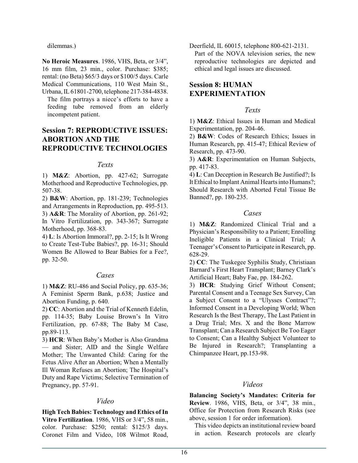dilemmas.)

**No Heroic Measures**. 1986, VHS, Beta, or 3/4", 16 mm film, 23 min., color. Purchase: \$385; rental: (no Beta) \$65/3 days or \$100/5 days. Carle Medical Communications, 110 West Main St., Urbana, IL 61801-2700, telephone 217-384-4838.

The film portrays a niece's efforts to have a feeding tube removed from an elderly incompetent patient.

## **Session 7: REPRODUCTIVE ISSUES: ABORTION AND THE REPRODUCTIVE TECHNOLOGIES**

### *Texts*

1) **M&Z**: Abortion, pp. 427-62; Surrogate Motherhood and Reproductive Technologies, pp. 507-38.

2) **B&W**: Abortion, pp. 181-239; Technologies and Arrangements in Reproduction, pp. 495-513. 3) **A&R**: The Morality of Abortion, pp. 261-92; In Vitro Fertilization, pp. 343-367; Surrogate Motherhood, pp. 368-83.

4) **L**: Is Abortion Immoral?, pp. 2-15; Is It Wrong to Create Test-Tube Babies?, pp. 16-31; Should Women Be Allowed to Bear Babies for a Fee?, pp. 32-50.

### *Cases*

1) **M&Z**: RU-486 and Social Policy, pp. 635-36; A Feminist Sperm Bank, p.638; Justice and Abortion Funding, p. 640.

2) **CC**: Abortion and the Trial of Kenneth Edelin, pp. 114-35; Baby Louise Brown's In Vitro Fertilization, pp. 67-88; The Baby M Case, pp.89-113.

3) **HCR**: When Baby's Mother is Also Grandma — and Sister; AID and the Single Welfare Mother; The Unwanted Child: Caring for the Fetus Alive After an Abortion; When a Mentally Ill Woman Refuses an Abortion; The Hospital's Duty and Rape Victims; Selective Termination of Pregnancy, pp. 57-91.

### *Video*

**High Tech Babies: Technology and Ethics of In Vitro Fertilization**. 1986, VHS or 3/4", 58 min., color. Purchase: \$250; rental: \$125/3 days. Coronet Film and Video, 108 Wilmot Road, Deerfield, IL 60015, telephone 800-621-2131. Part of the NOVA television series, the new reproductive technologies are depicted and ethical and legal issues are discussed.

## **Session 8: HUMAN EXPERIMENTATION**

## *Texts*

1) **M&Z**: Ethical Issues in Human and Medical Experimentation, pp. 204-46.

2) **B&W**: Codes of Research Ethics; Issues in Human Research, pp. 415-47; Ethical Review of Research, pp. 473-90.

3) **A&R**: Experimentation on Human Subjects, pp. 417-83.

4) **L**: Can Deception in Research Be Justified?; Is It Ethical to Implant Animal Hearts into Humans?; Should Research with Aborted Fetal Tissue Be Banned?, pp. 180-235.

## *Cases*

1) **M&Z**: Randomized Clinical Trial and a Physician's Responsibility to a Patient; Enrolling Ineligible Patients in a Clinical Trial; A Teenager's Consent to Participate in Research, pp. 628-29.

2) **CC**: The Tuskegee Syphilis Study, Christiaan Barnard's First Heart Transplant; Barney Clark's Artificial Heart; Baby Fae, pp. 184-262.

3) **HCR**: Studying Grief Without Consent; Parental Consent and a Teenage Sex Survey, Can a Subject Consent to a "Ulysses Contract"?; Informed Consent in a Developing World; When Research Is the Best Therapy, The Last Patient in a Drug Trial; Mrs. X and the Bone Marrow Transplant; Can a Research Subject Be Too Eager to Consent; Can a Healthy Subject Volunteer to Be Injured in Research?; Transplanting a Chimpanzee Heart, pp.153-98.

### *Videos*

**Balancing Society's Mandates: Criteria for Review**. 1986, VHS, Beta, or 3/4", 38 min., Office for Protection from Research Risks (see above, session 1 for order information).

This video depicts an institutional review board in action. Research protocols are clearly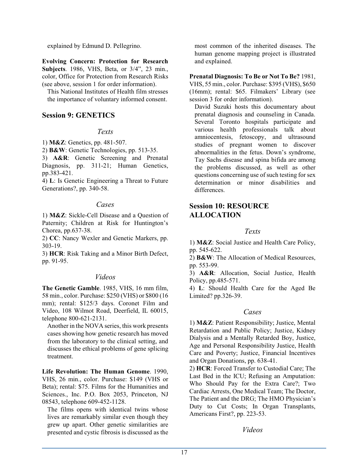explained by Edmund D. Pellegrino.

**Evolving Concern: Protection for Research Subjects**. 1986, VHS, Beta, or 3/4", 23 min., color, Office for Protection from Research Risks (see above, session 1 for order information).

This National Institutes of Health film stresses the importance of voluntary informed consent.

## **Session 9: GENETICS**

#### *Texts*

1) **M&Z**: Genetics, pp. 481-507.

2) **B&W**: Genetic Technologies, pp. 513-35.

3) **A&R**: Genetic Screening and Prenatal Diagnosis, pp. 311-21; Human Genetics, pp.383-421.

4) **L**: Is Genetic Engineering a Threat to Future Generations?, pp. 340-58.

### *Cases*

1) **M&Z**: Sickle-Cell Disease and a Question of Paternity; Children at Risk for Huntington's Chorea, pp.637-38.

2) **CC**: Nancy Wexler and Genetic Markers, pp. 303-19.

3) **HCR**: Risk Taking and a Minor Birth Defect, pp. 91-95.

### *Videos*

**The Genetic Gamble**. 1985, VHS, 16 mm film, 58 min., color. Purchase: \$250 (VHS) or \$800 (16 mm); rental: \$125/3 days. Coronet Film and Video, 108 Wilmot Road, Deerfield, IL 60015, telephone 800-621-2131.

Another in the NOVA series, this work presents cases showing how genetic research has moved from the laboratory to the clinical setting, and discusses the ethical problems of gene splicing treatment.

**Life Revolution: The Human Genome**. 1990, VHS, 26 min., color. Purchase: \$149 (VHS or Beta); rental: \$75. Films for the Humanities and Sciences., Inc. P.O. Box 2053, Princeton, NJ 08543, telephone 609-452-1128.

The films opens with identical twins whose lives are remarkably similar even though they grew up apart. Other genetic similarities are presented and cystic fibrosis is discussed as the most common of the inherited diseases. The human genome mapping project is illustrated and explained.

## **Prenatal Diagnosis: To Be or Not To Be?** 1981,

VHS, 55 min., color. Purchase: \$395 (VHS), \$650 (16mm); rental: \$65. Filmakers' Library (see session 3 for order information).

David Suzuki hosts this documentary about prenatal diagnosis and counseling in Canada. Several Toronto hospitals participate and various health professionals talk about amniocentesis, fetoscopy, and ultrasound studies of pregnant women to discover abnormalities in the fetus. Down's syndrome, Tay Sachs disease and spina bifida are among the problems discussed, as well as other questions concerning use of such testing for sex determination or minor disabilities and differences.

## **Session 10: RESOURCE ALLOCATION**

## *Texts*

1) **M&Z**: Social Justice and Health Care Policy, pp. 545-622.

2) **B&W**: The Allocation of Medical Resources, pp. 553-99.

3) **A&R**: Allocation, Social Justice, Health Policy, pp.485-571.

4) **L**: Should Health Care for the Aged Be Limited? pp.326-39.

### *Cases*

1) **M&Z**: Patient Responsibility; Justice, Mental Retardation and Public Policy; Justice, Kidney Dialysis and a Mentally Retarded Boy, Justice, Age and Personal Responsibility Justice, Health Care and Poverty; Justice, Financial Incentives and Organ Donations, pp. 638-41.

2) **HCR**: Forced Transfer to Custodial Care; The Last Bed in the ICU; Refusing an Amputation: Who Should Pay for the Extra Care?; Two Cardiac Arrests, One Medical Team; The Doctor, The Patient and the DRG; The HMO Physician's Duty to Cut Costs; In Organ Transplants, Americans First?, pp. 223-53.

*Videos*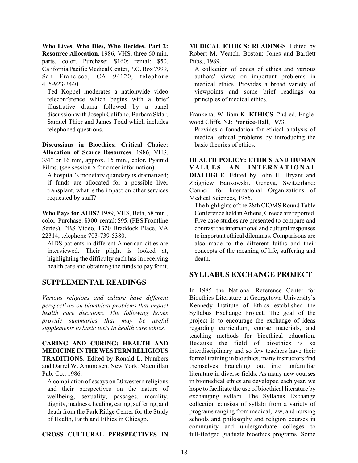**Who Lives, Who Dies, Who Decides. Part 2: Resource Allocation**. 1986, VHS, three 60 min. parts, color. Purchase: \$160; rental: \$50. California Pacific Medical Center, P.O. Box 7999, San Francisco, CA 94120, telephone 415-923-3440.

Ted Koppel moderates a nationwide video teleconference which begins with a brief illustrative drama followed by a panel discussion with Joseph Califano, Barbara Sklar, Samuel Thier and James Todd which includes telephoned questions.

**Discussions in Bioethics: Critical Choice: Allocation of Scarce Resources**. 1986, VHS, 3/4" or 16 mm, approx. 15 min., color. Pyamid Films, (see session 6 for order information).

A hospital's monetary quandary is dramatized; if funds are allocated for a possible liver transplant, what is the impact on other services requested by staff?

**Who Pays for AIDS?** 1989, VHS, Beta, 58 min., color. Purchase: \$300; rental: \$95. (PBS Frontline Series). PBS Video, 1320 Braddock Place, VA 22314, telephone 703-739-5380.

AIDS patients in different American cities are interviewed. Their plight is looked at, highlighting the difficulty each has in receiving health care and obtaining the funds to pay for it.

## **SUPPLEMENTAL READINGS**

*Various religions and culture have different perspectives on bioethical problems that impact health care decisions. The following books provide summaries that may be useful supplements to basic texts in health care ethics.*

#### **CARING AND CURING: HEALTH AND MEDICINE IN THE WESTERN RELIGIOUS TRADITIONS**. Edited by Ronald L. Numbers and Darrel W. Amundsen. New York: Macmillan Pub. Co., 1986.

A compilation of essays on 20 western religions and their perspectives on the nature of wellbeing, sexuality, passages, morality, dignity, madness, healing, caring, suffering, and death from the Park Ridge Center for the Study of Health, Faith and Ethics in Chicago.

**CROSS CULTURAL PERSPECTIVES IN**

**MEDICAL ETHICS: READINGS**. Edited by Robert M. Veatch. Boston: Jones and Bartlett Pubs., 1989.

A collection of codes of ethics and various authors' views on important problems in medical ethics. Provides a broad variety of viewpoints and some brief readings on principles of medical ethics.

Frankena, William K. **ETHICS**. 2nd ed. Englewood Cliffs, NJ: Prentice-Hall, 1973.

Provides a foundation for ethical analysis of medical ethical problems by introducing the basic theories of ethics.

**HEALTH POLICY: ETHICS AND HUMAN V A L U ES— A N I N TE R N A TI O N A L DIALOGUE**. Edited by John H. Bryant and Zbigniew Bankowski. Geneva, Switzerland: Council for International Organizations of Medical Sciences, 1985.

The highlights of the 28th CIOMS Round Table Conference held in Athens, Greece are reported. Five case studies are presented to compare and contrast the international and cultural responses to important ethical dilemmas. Comparisons are also made to the different faiths and their concepts of the meaning of life, suffering and death.

## **SYLLABUS EXCHANGE PROJECT**

In 1985 the National Reference Center for Bioethics Literature at Georgetown University's Kennedy Institute of Ethics established the Syllabus Exchange Project. The goal of the project is to encourage the exchange of ideas regarding curriculum, course materials, and teaching methods for bioethical education. Because the field of bioethics is so interdisciplinary and so few teachers have their formal training in bioethics, many instructors find themselves branching out into unfamiliar literature in diverse fields. As many new courses in biomedical ethics are developed each year, we hope to facilitate the use of bioethical literature by exchanging syllabi. The Syllabus Exchange collection consists of syllabi from a variety of programs ranging from medical, law, and nursing schools and philosophy and religion courses in community and undergraduate colleges to full-fledged graduate bioethics programs. Some